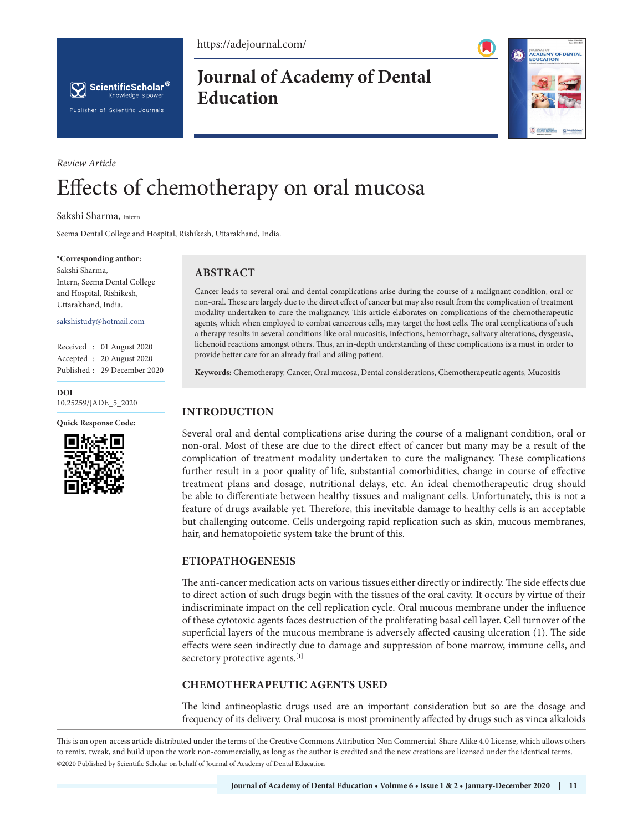https://adejournal.com/



**Journal of Academy of Dental Education**



# *Review Article* Effects of chemotherapy on oral mucosa

Sakshi Sharma, Intern

Seema Dental College and Hospital, Rishikesh, Uttarakhand, India.

#### **\*Corresponding author:**

Sakshi Sharma, Intern, Seema Dental College and Hospital, Rishikesh, Uttarakhand, India.

sakshistudy@hotmail.com

Received : 01 August 2020 Accepted : 20 August 2020 Published : 29 December 2020

**DOI** [10.25259/JADE\\_5\\_2020](https://dx.doi.org/10.25259/JADE_5_2020)

#### **Quick Response Code:**



# **ABSTRACT**

Cancer leads to several oral and dental complications arise during the course of a malignant condition, oral or non-oral. These are largely due to the direct effect of cancer but may also result from the complication of treatment modality undertaken to cure the malignancy. This article elaborates on complications of the chemotherapeutic agents, which when employed to combat cancerous cells, may target the host cells. The oral complications of such a therapy results in several conditions like oral mucositis, infections, hemorrhage, salivary alterations, dysgeusia, lichenoid reactions amongst others. Thus, an in-depth understanding of these complications is a must in order to provide better care for an already frail and ailing patient.

**Keywords:** Chemotherapy, Cancer, Oral mucosa, Dental considerations, Chemotherapeutic agents, Mucositis

# **INTRODUCTION**

Several oral and dental complications arise during the course of a malignant condition, oral or non-oral. Most of these are due to the direct effect of cancer but many may be a result of the complication of treatment modality undertaken to cure the malignancy. These complications further result in a poor quality of life, substantial comorbidities, change in course of effective treatment plans and dosage, nutritional delays, etc. An ideal chemotherapeutic drug should be able to differentiate between healthy tissues and malignant cells. Unfortunately, this is not a feature of drugs available yet. Therefore, this inevitable damage to healthy cells is an acceptable but challenging outcome. Cells undergoing rapid replication such as skin, mucous membranes, hair, and hematopoietic system take the brunt of this.

## **ETIOPATHOGENESIS**

The anti-cancer medication acts on various tissues either directly or indirectly. The side effects due to direct action of such drugs begin with the tissues of the oral cavity. It occurs by virtue of their indiscriminate impact on the cell replication cycle. Oral mucous membrane under the influence of these cytotoxic agents faces destruction of the proliferating basal cell layer. Cell turnover of the superficial layers of the mucous membrane is adversely affected causing ulceration (1). The side effects were seen indirectly due to damage and suppression of bone marrow, immune cells, and secretory protective agents.<sup>[1]</sup>

# **CHEMOTHERAPEUTIC AGENTS USED**

The kind antineoplastic drugs used are an important consideration but so are the dosage and frequency of its delivery. Oral mucosa is most prominently affected by drugs such as vinca alkaloids

This is an open-access article distributed under the terms of the Creative Commons Attribution-Non Commercial-Share Alike 4.0 License, which allows others to remix, tweak, and build upon the work non-commercially, as long as the author is credited and the new creations are licensed under the identical terms. ©2020 Published by Scientific Scholar on behalf of Journal of Academy of Dental Education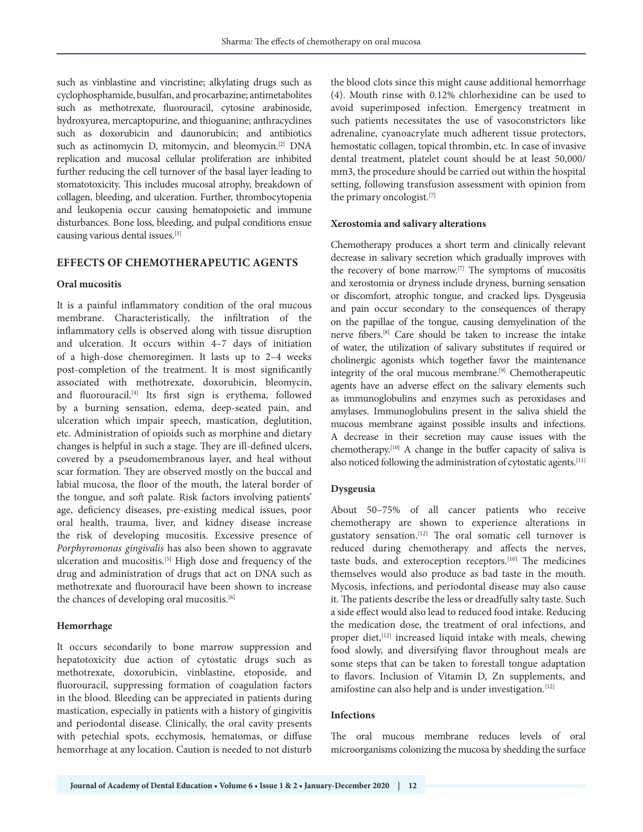such as vinblastine and vincristine; alkylating drugs such as cyclophosphamide, busulfan, and procarbazine; antimetabolites such as methotrexate, fluorouracil, cytosine arabinoside, hydroxyurea, mercaptopurine, and thioguanine; anthracyclines such as doxorubicin and daunorubicin; and antibiotics such as actinomycin D, mitomycin, and bleomycin.<sup>[2]</sup> DNA replication and mucosal cellular proliferation are inhibited further reducing the cell turnover of the basal layer leading to stomatotoxicity. This includes mucosal atrophy, breakdown of collagen, bleeding, and ulceration. Further, thrombocytopenia and leukopenia occur causing hematopoietic and immune disturbances. Bone loss, bleeding, and pulpal conditions ensue causing various dental issues.[3]

### **EFFECTS OF CHEMOTHERAPEUTIC AGENTS**

#### **Oral mucositis**

It is a painful inflammatory condition of the oral mucous membrane. Characteristically, the infiltration of the inflammatory cells is observed along with tissue disruption and ulceration. It occurs within 4–7 days of initiation of a high-dose chemoregimen. It lasts up to 2–4 weeks post-completion of the treatment. It is most significantly associated with methotrexate, doxorubicin, bleomycin, and fluorouracil.<sup>[4]</sup> Its first sign is erythema, followed by a burning sensation, edema, deep-seated pain, and ulceration which impair speech, mastication, deglutition, etc. Administration of opioids such as morphine and dietary changes is helpful in such a stage. They are ill-defined ulcers, covered by a pseudomembranous layer, and heal without scar formation. They are observed mostly on the buccal and labial mucosa, the floor of the mouth, the lateral border of the tongue, and soft palate. Risk factors involving patients' age, deficiency diseases, pre-existing medical issues, poor oral health, trauma, liver, and kidney disease increase the risk of developing mucositis. Excessive presence of *Porphyromonas gingivalis* has also been shown to aggravate ulceration and mucositis.<sup>[5]</sup> High dose and frequency of the drug and administration of drugs that act on DNA such as methotrexate and fluorouracil have been shown to increase the chances of developing oral mucositis.<sup>[6]</sup>

#### **Hemorrhage**

It occurs secondarily to bone marrow suppression and hepatotoxicity due action of cytostatic drugs such as methotrexate, doxorubicin, vinblastine, etoposide, and fluorouracil, suppressing formation of coagulation factors in the blood. Bleeding can be appreciated in patients during mastication, especially in patients with a history of gingivitis and periodontal disease. Clinically, the oral cavity presents with petechial spots, ecchymosis, hematomas, or diffuse hemorrhage at any location. Caution is needed to not disturb

the blood clots since this might cause additional hemorrhage (4). Mouth rinse with 0.12% chlorhexidine can be used to avoid superimposed infection. Emergency treatment in such patients necessitates the use of vasoconstrictors like adrenaline, cyanoacrylate much adherent tissue protectors, hemostatic collagen, topical thrombin, etc. In case of invasive dental treatment, platelet count should be at least 50,000/ mm3, the procedure should be carried out within the hospital setting, following transfusion assessment with opinion from the primary oncologist.[7]

#### **Xerostomia and salivary alterations**

Chemotherapy produces a short term and clinically relevant decrease in salivary secretion which gradually improves with the recovery of bone marrow.[7] The symptoms of mucositis and xerostomia or dryness include dryness, burning sensation or discomfort, atrophic tongue, and cracked lips. Dysgeusia and pain occur secondary to the consequences of therapy on the papillae of the tongue, causing demyelination of the nerve fibers.[8] Care should be taken to increase the intake of water, the utilization of salivary substitutes if required or cholinergic agonists which together favor the maintenance integrity of the oral mucous membrane.[9] Chemotherapeutic agents have an adverse effect on the salivary elements such as immunoglobulins and enzymes such as peroxidases and amylases. Immunoglobulins present in the saliva shield the mucous membrane against possible insults and infections. A decrease in their secretion may cause issues with the chemotherapy.<sup>[10]</sup> A change in the buffer capacity of saliva is also noticed following the administration of cytostatic agents.<sup>[11]</sup>

#### **Dysgeusia**

About 50–75% of all cancer patients who receive chemotherapy are shown to experience alterations in gustatory sensation.[12] The oral somatic cell turnover is reduced during chemotherapy and affects the nerves, taste buds, and exteroception receptors.[10] The medicines themselves would also produce as bad taste in the mouth. Mycosis, infections, and periodontal disease may also cause it. The patients describe the less or dreadfully salty taste. Such a side effect would also lead to reduced food intake. Reducing the medication dose, the treatment of oral infections, and proper diet,<sup>[12]</sup> increased liquid intake with meals, chewing food slowly, and diversifying flavor throughout meals are some steps that can be taken to forestall tongue adaptation to flavors. Inclusion of Vitamin D, Zn supplements, and amifostine can also help and is under investigation.<sup>[12]</sup>

#### **Infections**

The oral mucous membrane reduces levels of oral microorganisms colonizing the mucosa by shedding the surface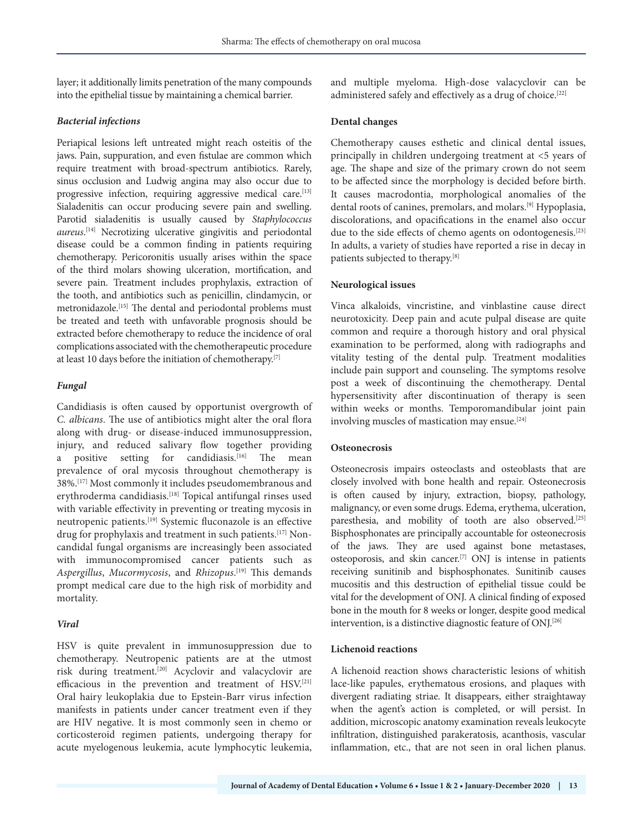layer; it additionally limits penetration of the many compounds into the epithelial tissue by maintaining a chemical barrier.

#### *Bacterial infections*

Periapical lesions left untreated might reach osteitis of the jaws. Pain, suppuration, and even fistulae are common which require treatment with broad-spectrum antibiotics. Rarely, sinus occlusion and Ludwig angina may also occur due to progressive infection, requiring aggressive medical care.<sup>[13]</sup> Sialadenitis can occur producing severe pain and swelling. Parotid sialadenitis is usually caused by *Staphylococcus aureus*. [14] Necrotizing ulcerative gingivitis and periodontal disease could be a common finding in patients requiring chemotherapy. Pericoronitis usually arises within the space of the third molars showing ulceration, mortification, and severe pain. Treatment includes prophylaxis, extraction of the tooth, and antibiotics such as penicillin, clindamycin, or metronidazole.<sup>[15]</sup> The dental and periodontal problems must be treated and teeth with unfavorable prognosis should be extracted before chemotherapy to reduce the incidence of oral complications associated with the chemotherapeutic procedure at least 10 days before the initiation of chemotherapy.[7]

#### *Fungal*

Candidiasis is often caused by opportunist overgrowth of *C. albicans*. The use of antibiotics might alter the oral flora along with drug- or disease-induced immunosuppression, injury, and reduced salivary flow together providing a positive setting for candidiasis.<sup>[16]</sup> The mean prevalence of oral mycosis throughout chemotherapy is 38%.[17] Most commonly it includes pseudomembranous and erythroderma candidiasis.<sup>[18]</sup> Topical antifungal rinses used with variable effectivity in preventing or treating mycosis in neutropenic patients.[19] Systemic fluconazole is an effective drug for prophylaxis and treatment in such patients.<sup>[17]</sup> Noncandidal fungal organisms are increasingly been associated with immunocompromised cancer patients such as *Aspergillus*, *Mucormycosis*, and *Rhizopus*. [19] This demands prompt medical care due to the high risk of morbidity and mortality.

#### *Viral*

HSV is quite prevalent in immunosuppression due to chemotherapy. Neutropenic patients are at the utmost risk during treatment.[20] Acyclovir and valacyclovir are efficacious in the prevention and treatment of HSV.[21] Oral hairy leukoplakia due to Epstein-Barr virus infection manifests in patients under cancer treatment even if they are HIV negative. It is most commonly seen in chemo or corticosteroid regimen patients, undergoing therapy for acute myelogenous leukemia, acute lymphocytic leukemia,

and multiple myeloma. High-dose valacyclovir can be administered safely and effectively as a drug of choice.<sup>[22]</sup>

#### **Dental changes**

Chemotherapy causes esthetic and clinical dental issues, principally in children undergoing treatment at <5 years of age. The shape and size of the primary crown do not seem to be affected since the morphology is decided before birth. It causes macrodontia, morphological anomalies of the dental roots of canines, premolars, and molars.[9] Hypoplasia, discolorations, and opacifications in the enamel also occur due to the side effects of chemo agents on odontogenesis.<sup>[23]</sup> In adults, a variety of studies have reported a rise in decay in patients subjected to therapy.[8]

#### **Neurological issues**

Vinca alkaloids, vincristine, and vinblastine cause direct neurotoxicity. Deep pain and acute pulpal disease are quite common and require a thorough history and oral physical examination to be performed, along with radiographs and vitality testing of the dental pulp. Treatment modalities include pain support and counseling. The symptoms resolve post a week of discontinuing the chemotherapy. Dental hypersensitivity after discontinuation of therapy is seen within weeks or months. Temporomandibular joint pain involving muscles of mastication may ensue.[24]

#### **Osteonecrosis**

Osteonecrosis impairs osteoclasts and osteoblasts that are closely involved with bone health and repair. Osteonecrosis is often caused by injury, extraction, biopsy, pathology, malignancy, or even some drugs. Edema, erythema, ulceration, paresthesia, and mobility of tooth are also observed.<sup>[25]</sup> Bisphosphonates are principally accountable for osteonecrosis of the jaws. They are used against bone metastases, osteoporosis, and skin cancer.[7] ONJ is intense in patients receiving sunitinib and bisphosphonates. Sunitinib causes mucositis and this destruction of epithelial tissue could be vital for the development of ONJ. A clinical finding of exposed bone in the mouth for 8 weeks or longer, despite good medical intervention, is a distinctive diagnostic feature of ONJ.<sup>[26]</sup>

#### **Lichenoid reactions**

A lichenoid reaction shows characteristic lesions of whitish lace-like papules, erythematous erosions, and plaques with divergent radiating striae. It disappears, either straightaway when the agent's action is completed, or will persist. In addition, microscopic anatomy examination reveals leukocyte infiltration, distinguished parakeratosis, acanthosis, vascular inflammation, etc., that are not seen in oral lichen planus.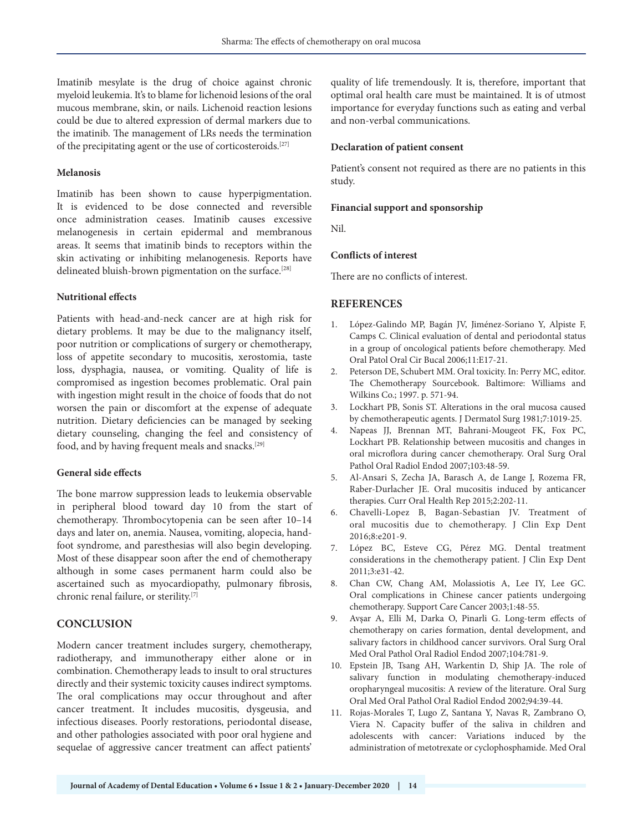Imatinib mesylate is the drug of choice against chronic myeloid leukemia. It's to blame for lichenoid lesions of the oral mucous membrane, skin, or nails. Lichenoid reaction lesions could be due to altered expression of dermal markers due to the imatinib. The management of LRs needs the termination of the precipitating agent or the use of corticosteroids.[27]

#### **Melanosis**

Imatinib has been shown to cause hyperpigmentation. It is evidenced to be dose connected and reversible once administration ceases. Imatinib causes excessive melanogenesis in certain epidermal and membranous areas. It seems that imatinib binds to receptors within the skin activating or inhibiting melanogenesis. Reports have delineated bluish-brown pigmentation on the surface.<sup>[28]</sup>

#### **Nutritional effects**

Patients with head-and-neck cancer are at high risk for dietary problems. It may be due to the malignancy itself, poor nutrition or complications of surgery or chemotherapy, loss of appetite secondary to mucositis, xerostomia, taste loss, dysphagia, nausea, or vomiting. Quality of life is compromised as ingestion becomes problematic. Oral pain with ingestion might result in the choice of foods that do not worsen the pain or discomfort at the expense of adequate nutrition. Dietary deficiencies can be managed by seeking dietary counseling, changing the feel and consistency of food, and by having frequent meals and snacks.[29]

#### **General side effects**

The bone marrow suppression leads to leukemia observable in peripheral blood toward day 10 from the start of chemotherapy. Thrombocytopenia can be seen after 10–14 days and later on, anemia. Nausea, vomiting, alopecia, handfoot syndrome, and paresthesias will also begin developing. Most of these disappear soon after the end of chemotherapy although in some cases permanent harm could also be ascertained such as myocardiopathy, pulmonary fibrosis, chronic renal failure, or sterility.[7]

#### **CONCLUSION**

Modern cancer treatment includes surgery, chemotherapy, radiotherapy, and immunotherapy either alone or in combination. Chemotherapy leads to insult to oral structures directly and their systemic toxicity causes indirect symptoms. The oral complications may occur throughout and after cancer treatment. It includes mucositis, dysgeusia, and infectious diseases. Poorly restorations, periodontal disease, and other pathologies associated with poor oral hygiene and sequelae of aggressive cancer treatment can affect patients' quality of life tremendously. It is, therefore, important that optimal oral health care must be maintained. It is of utmost importance for everyday functions such as eating and verbal and non-verbal communications.

#### **Declaration of patient consent**

Patient's consent not required as there are no patients in this study.

#### **Financial support and sponsorship**

Nil.

#### **Conflicts of interest**

There are no conflicts of interest.

## **REFERENCES**

- 1. López-Galindo MP, Bagán JV, Jiménez-Soriano Y, Alpiste F, Camps C. Clinical evaluation of dental and periodontal status in a group of oncological patients before chemotherapy. Med Oral Patol Oral Cir Bucal 2006;11:E17-21.
- 2. Peterson DE, Schubert MM. Oral toxicity. In: Perry MC, editor. The Chemotherapy Sourcebook. Baltimore: Williams and Wilkins Co.; 1997. p. 571-94.
- 3. Lockhart PB, Sonis ST. Alterations in the oral mucosa caused by chemotherapeutic agents. J Dermatol Surg 1981;7:1019-25.
- 4. Napeas JJ, Brennan MT, Bahrani-Mougeot FK, Fox PC, Lockhart PB. Relationship between mucositis and changes in oral microflora during cancer chemotherapy. Oral Surg Oral Pathol Oral Radiol Endod 2007;103:48-59.
- 5. Al-Ansari S, Zecha JA, Barasch A, de Lange J, Rozema FR, Raber-Durlacher JE. Oral mucositis induced by anticancer therapies. Curr Oral Health Rep 2015;2:202-11.
- 6. Chavelli-Lopez B, Bagan-Sebastian JV. Treatment of oral mucositis due to chemotherapy. J Clin Exp Dent 2016;8:e201-9.
- 7. López BC, Esteve CG, Pérez MG. Dental treatment considerations in the chemotherapy patient. J Clin Exp Dent 2011;3:e31-42.
- 8. Chan CW, Chang AM, Molassiotis A, Lee IY, Lee GC. Oral complications in Chinese cancer patients undergoing chemotherapy. Support Care Cancer 2003;1:48-55.
- 9. Avşar A, Elli M, Darka O, Pinarli G. Long-term effects of chemotherapy on caries formation, dental development, and salivary factors in childhood cancer survivors. Oral Surg Oral Med Oral Pathol Oral Radiol Endod 2007;104:781-9.
- 10. Epstein JB, Tsang AH, Warkentin D, Ship JA. The role of salivary function in modulating chemotherapy-induced oropharyngeal mucositis: A review of the literature. Oral Surg Oral Med Oral Pathol Oral Radiol Endod 2002;94:39-44.
- 11. Rojas-Morales T, Lugo Z, Santana Y, Navas R, Zambrano O, Viera N. Capacity buffer of the saliva in children and adolescents with cancer: Variations induced by the administration of metotrexate or cyclophosphamide. Med Oral